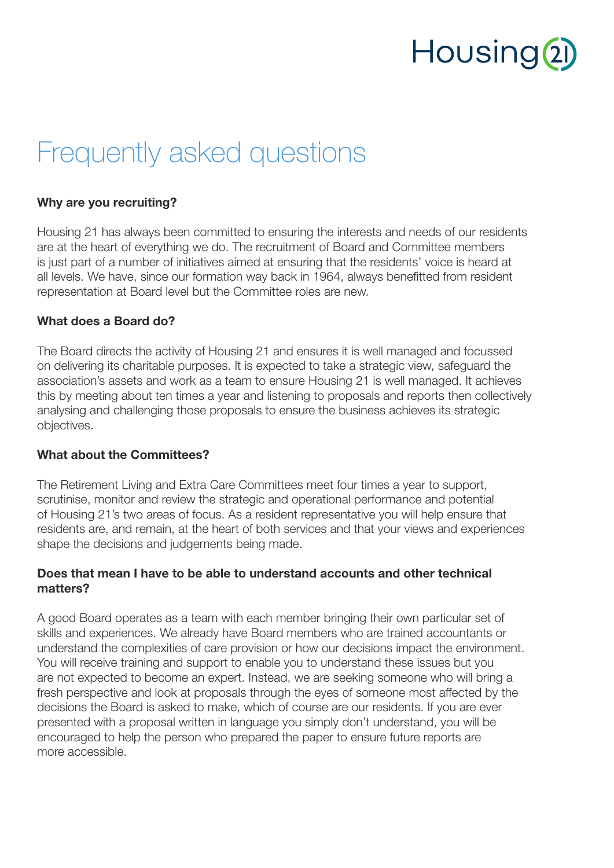## Housing<sup>2</sup>

### Frequently asked questions

#### Why are you recruiting?

Housing 21 has always been committed to ensuring the interests and needs of our residents are at the heart of everything we do. The recruitment of Board and Committee members is just part of a number of initiatives aimed at ensuring that the residents' voice is heard at all levels. We have, since our formation way back in 1964, always benefitted from resident representation at Board level but the Committee roles are new.

#### What does a Board do?

The Board directs the activity of Housing 21 and ensures it is well managed and focussed on delivering its charitable purposes. It is expected to take a strategic view, safeguard the association's assets and work as a team to ensure Housing 21 is well managed. It achieves this by meeting about ten times a year and listening to proposals and reports then collectively analysing and challenging those proposals to ensure the business achieves its strategic objectives.

#### What about the Committees?

The Retirement Living and Extra Care Committees meet four times a year to support, scrutinise, monitor and review the strategic and operational performance and potential of Housing 21's two areas of focus. As a resident representative you will help ensure that residents are, and remain, at the heart of both services and that your views and experiences shape the decisions and judgements being made.

#### Does that mean I have to be able to understand accounts and other technical matters?

A good Board operates as a team with each member bringing their own particular set of skills and experiences. We already have Board members who are trained accountants or understand the complexities of care provision or how our decisions impact the environment. You will receive training and support to enable you to understand these issues but you are not expected to become an expert. Instead, we are seeking someone who will bring a fresh perspective and look at proposals through the eyes of someone most affected by the decisions the Board is asked to make, which of course are our residents. If you are ever presented with a proposal written in language you simply don't understand, you will be encouraged to help the person who prepared the paper to ensure future reports are more accessible.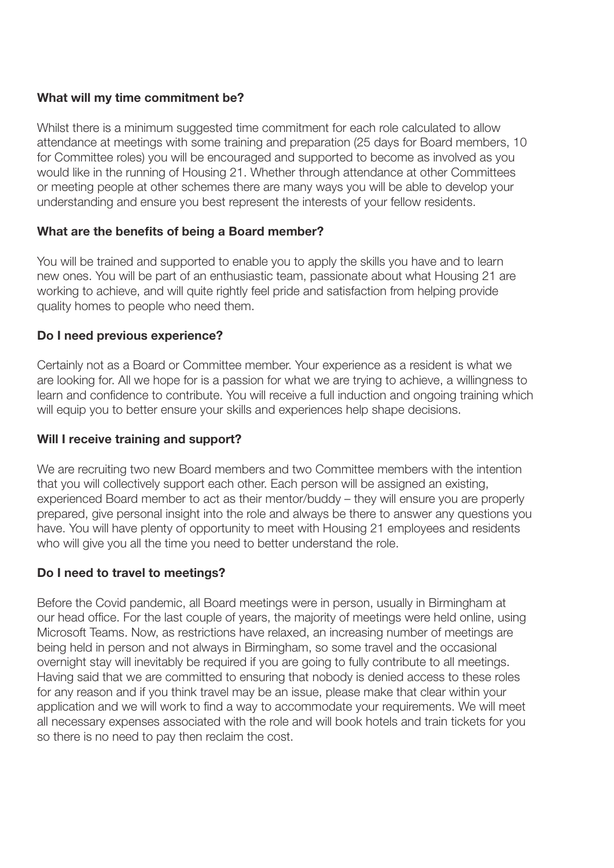#### What will my time commitment be?

Whilst there is a minimum suggested time commitment for each role calculated to allow attendance at meetings with some training and preparation (25 days for Board members, 10 for Committee roles) you will be encouraged and supported to become as involved as you would like in the running of Housing 21. Whether through attendance at other Committees or meeting people at other schemes there are many ways you will be able to develop your understanding and ensure you best represent the interests of your fellow residents.

#### What are the benefits of being a Board member?

You will be trained and supported to enable you to apply the skills you have and to learn new ones. You will be part of an enthusiastic team, passionate about what Housing 21 are working to achieve, and will quite rightly feel pride and satisfaction from helping provide quality homes to people who need them.

#### Do I need previous experience?

Certainly not as a Board or Committee member. Your experience as a resident is what we are looking for. All we hope for is a passion for what we are trying to achieve, a willingness to learn and confidence to contribute. You will receive a full induction and ongoing training which will equip you to better ensure your skills and experiences help shape decisions.

#### Will I receive training and support?

We are recruiting two new Board members and two Committee members with the intention that you will collectively support each other. Each person will be assigned an existing, experienced Board member to act as their mentor/buddy – they will ensure you are properly prepared, give personal insight into the role and always be there to answer any questions you have. You will have plenty of opportunity to meet with Housing 21 employees and residents who will give you all the time you need to better understand the role.

#### Do I need to travel to meetings?

Before the Covid pandemic, all Board meetings were in person, usually in Birmingham at our head office. For the last couple of years, the majority of meetings were held online, using Microsoft Teams. Now, as restrictions have relaxed, an increasing number of meetings are being held in person and not always in Birmingham, so some travel and the occasional overnight stay will inevitably be required if you are going to fully contribute to all meetings. Having said that we are committed to ensuring that nobody is denied access to these roles for any reason and if you think travel may be an issue, please make that clear within your application and we will work to find a way to accommodate your requirements. We will meet all necessary expenses associated with the role and will book hotels and train tickets for you so there is no need to pay then reclaim the cost.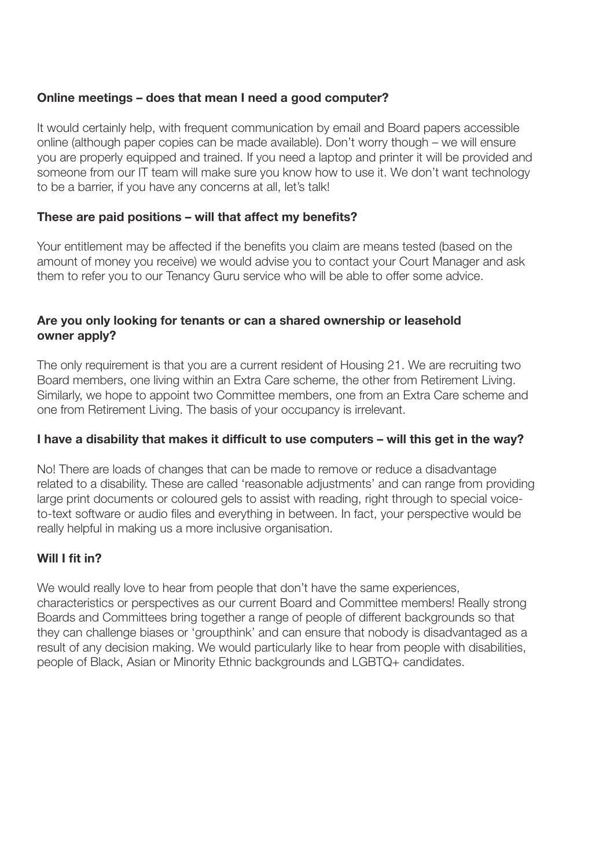#### Online meetings – does that mean I need a good computer?

It would certainly help, with frequent communication by email and Board papers accessible online (although paper copies can be made available). Don't worry though – we will ensure you are properly equipped and trained. If you need a laptop and printer it will be provided and someone from our IT team will make sure you know how to use it. We don't want technology to be a barrier, if you have any concerns at all, let's talk!

#### These are paid positions – will that affect my benefits?

Your entitlement may be affected if the benefits you claim are means tested (based on the amount of money you receive) we would advise you to contact your Court Manager and ask them to refer you to our Tenancy Guru service who will be able to offer some advice.

#### Are you only looking for tenants or can a shared ownership or leasehold owner apply?

The only requirement is that you are a current resident of Housing 21. We are recruiting two Board members, one living within an Extra Care scheme, the other from Retirement Living. Similarly, we hope to appoint two Committee members, one from an Extra Care scheme and one from Retirement Living. The basis of your occupancy is irrelevant.

#### I have a disability that makes it difficult to use computers – will this get in the way?

No! There are loads of changes that can be made to remove or reduce a disadvantage related to a disability. These are called 'reasonable adjustments' and can range from providing large print documents or coloured gels to assist with reading, right through to special voiceto-text software or audio files and everything in between. In fact, your perspective would be really helpful in making us a more inclusive organisation.

#### Will I fit in?

We would really love to hear from people that don't have the same experiences, characteristics or perspectives as our current Board and Committee members! Really strong Boards and Committees bring together a range of people of different backgrounds so that they can challenge biases or 'groupthink' and can ensure that nobody is disadvantaged as a result of any decision making. We would particularly like to hear from people with disabilities, people of Black, Asian or Minority Ethnic backgrounds and LGBTQ+ candidates.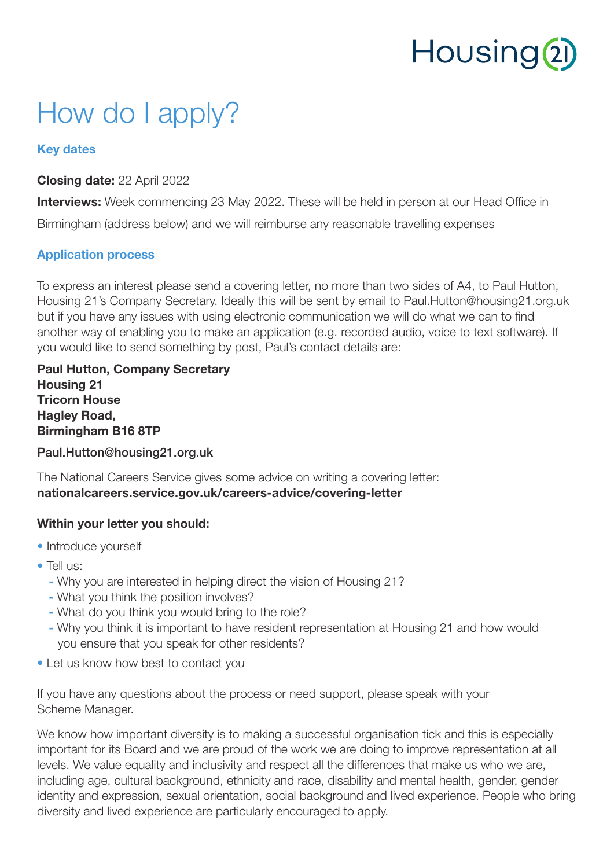# Housing<sup>2</sup>

### How do I apply?

#### Key dates

#### Closing date: 22 April 2022

**Interviews:** Week commencing 23 May 2022. These will be held in person at our Head Office in

Birmingham (address below) and we will reimburse any reasonable travelling expenses

#### Application process

To express an interest please send a covering letter, no more than two sides of A4, to Paul Hutton, Housing 21's Company Secretary. Ideally this will be sent by email to Paul.Hutton@housing21.org.uk but if you have any issues with using electronic communication we will do what we can to find another way of enabling you to make an application (e.g. recorded audio, voice to text software). If you would like to send something by post, Paul's contact details are:

Paul Hutton, Company Secretary Housing 21 Tricorn House Hagley Road, Birmingham B16 8TP

Paul.Hutton@housing21.org.uk

The National Careers Service gives some advice on writing a covering letter: nationalcareers.service.gov.uk/careers-advice/covering-letter

#### Within your letter you should:

- Introduce yourself
- Tell us:
	- Why you are interested in helping direct the vision of Housing 21?
	- What you think the position involves?
	- What do you think you would bring to the role?
	- Why you think it is important to have resident representation at Housing 21 and how would you ensure that you speak for other residents?
- Let us know how best to contact you

If you have any questions about the process or need support, please speak with your Scheme Manager.

We know how important diversity is to making a successful organisation tick and this is especially important for its Board and we are proud of the work we are doing to improve representation at all levels. We value equality and inclusivity and respect all the differences that make us who we are, including age, cultural background, ethnicity and race, disability and mental health, gender, gender identity and expression, sexual orientation, social background and lived experience. People who bring diversity and lived experience are particularly encouraged to apply.